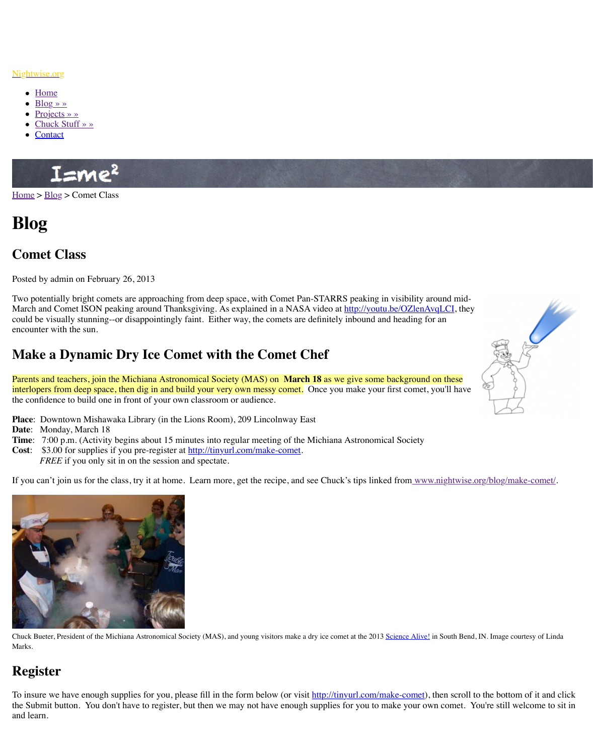Two potentially bright comets are approaching from deep space, with Comet Pan-STARRS peaking in visibility around mid-March and Comet ISON peaking around Thanksgiving. As explained in a NASA video at ht could be visually stunning--or disappointingly faint. Either way, the comets are definitely in encounter with the sun.

# **Make a Dynamic Dry Ice Comet with the Comet Chef**

[Parents and teachers, join the Michiana Astronomical Society \(MAS\) on](http://www.nightwise.org/) March 18 as we g interl[opers fr](http://www.nightwise.org/)om deep space, then dig in and build your very own messy comet. Once you m the co[nfidence](http://www.nightwise.org/blog/) to build one in front of your own classroom or audience.

- **Place**[: Downtown Mi](http://www.nightwise.org/chuck-stuff/)shawaka Library (in the Lions Room), 209 Lincolnway East
- **Date**: [Monda](http://www.nightwise.org/contact/)y, March 18
- **Time**: 7:00 p.m. (Activity begins about 15 minutes into regular meeting of the Michiana Astronomical Society
- **Cost**: \$3.00 for supplies if you pre-register at http://tinyurl.com/make-comet. *FREE* if you only sit in on the session and spectate.

If you can't join us for the class, try it at home. Learn more, get the recipe, and see Chuck's



Chuck Bueter, President of the Michiana Astronomical Society (MAS), and young visitors make a dry ice comet at Marks.

## **Register**

To insure we have enough supplies for you, please fill in the form below (or visit http://tinyurl the Submit button. You don't have to register, but then we may not have enough supplies for and learn.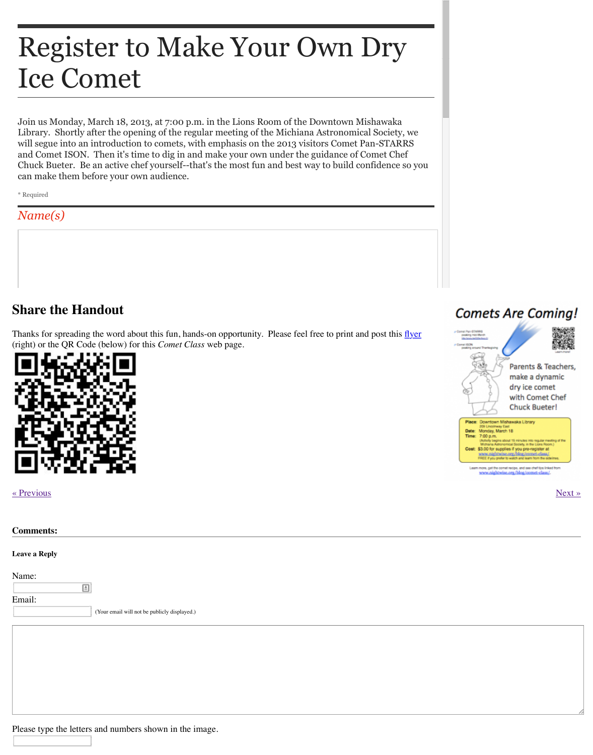## **Share the Handout**

Thanks for spreading the word about this fun, hands-on opportunity. Please feel free to print (right) or the QR Code (below) for this *Comet Class* web page.



#### « Previous » Next » Next » Next » Next » Next » Next » Next » Next » Next » Next » Next » Next » Next » Next » Next » Next » Next » Next » Next » Next » Next » Next » Next » Next » Next » Next » Next » Next » Next » Next »

**Leave a Reply**

Name:

 $\boxed{\triangleq}$ 

Email:

(Your email will not be publicly displayed.)

Please type the letters and numbers shown in the image.